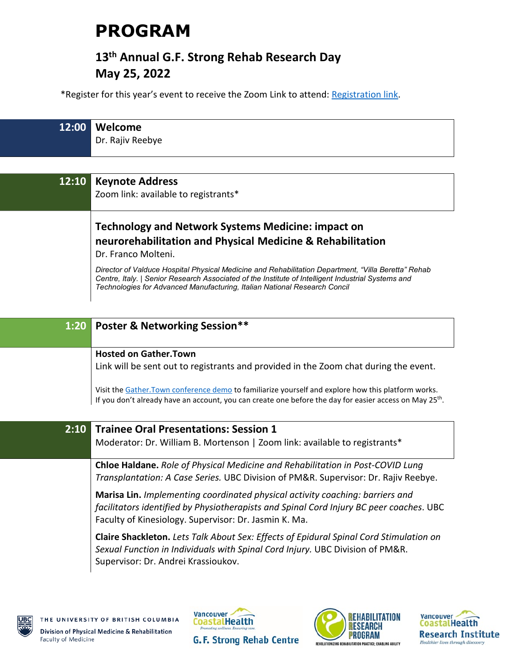# **PROGRAM**

# **13th Annual G.F. Strong Rehab Research Day May 25, 2022**

\*Register for this year's event to receive the Zoom Link to attend: [Registration link.](https://www.eventbrite.ca/e/13th-gf-strong-rehab-research-day-tickets-266406006537)

| 12:00 | Welcome<br>Dr. Rajiv Reebye                                                                                             |
|-------|-------------------------------------------------------------------------------------------------------------------------|
| 12:10 | <b>Keynote Address</b><br>Zoom link: available to registrants*                                                          |
|       | <b>Technology and Network Systems Medicine: impact on</b><br>neurorehabilitation and Physical Medicine & Rehabilitation |

Dr. Franco Molteni.

*Director of Valduce Hospital Physical Medicine and Rehabilitation Department, "Villa Beretta" Rehab Centre, Italy. | Senior Research Associated of the Institute of Intelligent Industrial Systems and Technologies for Advanced Manufacturing, Italian National Research Concil*

| <b>Poster &amp; Networking Session**</b><br>1:20                                                                                                                                                                                  |  |  |
|-----------------------------------------------------------------------------------------------------------------------------------------------------------------------------------------------------------------------------------|--|--|
|                                                                                                                                                                                                                                   |  |  |
| <b>Hosted on Gather. Town</b>                                                                                                                                                                                                     |  |  |
| Link will be sent out to registrants and provided in the Zoom chat during the event.                                                                                                                                              |  |  |
| Visit the Gather. Town conference demo to familiarize yourself and explore how this platform works.<br>If you don't already have an account, you can create one before the day for easier access on May 25 <sup>th</sup> .        |  |  |
| 2:10<br><b>Trainee Oral Presentations: Session 1</b>                                                                                                                                                                              |  |  |
| Moderator: Dr. William B. Mortenson   Zoom link: available to registrants*                                                                                                                                                        |  |  |
| <b>Chloe Haldane.</b> Role of Physical Medicine and Rehabilitation in Post-COVID Lung<br>Transplantation: A Case Series. UBC Division of PM&R. Supervisor: Dr. Rajiv Reebye.                                                      |  |  |
| Marisa Lin. Implementing coordinated physical activity coaching: barriers and<br>facilitators identified by Physiotherapists and Spinal Cord Injury BC peer coaches. UBC<br>Faculty of Kinesiology. Supervisor: Dr. Jasmin K. Ma. |  |  |
| <b>Claire Shackleton.</b> Lets Talk About Sex: Effects of Epidural Spinal Cord Stimulation on<br>Sexual Function in Individuals with Spinal Cord Injury. UBC Division of PM&R.<br>Supervisor: Dr. Andrei Krassioukov.             |  |  |
|                                                                                                                                                                                                                                   |  |  |







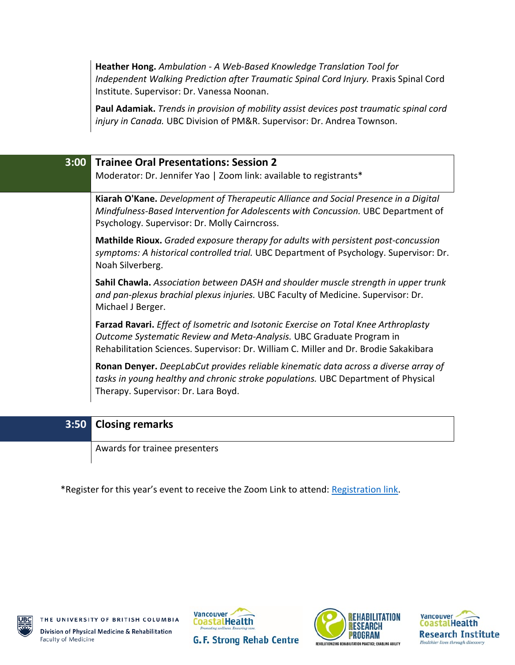**Heather Hong.** *Ambulation - A Web-Based Knowledge Translation Tool for Independent Walking Prediction after Traumatic Spinal Cord Injury.* Praxis Spinal Cord Institute. Supervisor: Dr. Vanessa Noonan.

**Paul Adamiak.** *Trends in provision of mobility assist devices post traumatic spinal cord injury in Canada.* UBC Division of PM&R. Supervisor: Dr. Andrea Townson.

| 3:00 Trainee Oral Presentations: Session 2                                                                                                                                                                                                          |  |  |
|-----------------------------------------------------------------------------------------------------------------------------------------------------------------------------------------------------------------------------------------------------|--|--|
| Moderator: Dr. Jennifer Yao   Zoom link: available to registrants*                                                                                                                                                                                  |  |  |
| Kiarah O'Kane. Development of Therapeutic Alliance and Social Presence in a Digital<br>Mindfulness-Based Intervention for Adolescents with Concussion. UBC Department of<br>Psychology. Supervisor: Dr. Molly Cairncross.                           |  |  |
| <b>Mathilde Rioux.</b> Graded exposure therapy for adults with persistent post-concussion<br>symptoms: A historical controlled trial. UBC Department of Psychology. Supervisor: Dr.<br>Noah Silverberg.                                             |  |  |
| Sahil Chawla. Association between DASH and shoulder muscle strength in upper trunk<br>and pan-plexus brachial plexus injuries. UBC Faculty of Medicine. Supervisor: Dr.<br>Michael J Berger.                                                        |  |  |
| Farzad Ravari. Effect of Isometric and Isotonic Exercise on Total Knee Arthroplasty<br>Outcome Systematic Review and Meta-Analysis. UBC Graduate Program in<br>Rehabilitation Sciences. Supervisor: Dr. William C. Miller and Dr. Brodie Sakakibara |  |  |
| Ronan Denyer. DeepLabCut provides reliable kinematic data across a diverse array of<br>tasks in young healthy and chronic stroke populations. UBC Department of Physical<br>Therapy. Supervisor: Dr. Lara Boyd.                                     |  |  |

#### **3:50 Closing remarks**

Awards for trainee presenters

\*Register for this year's event to receive the Zoom Link to attend: [Registration link.](https://www.eventbrite.ca/e/13th-gf-strong-rehab-research-day-tickets-266406006537)







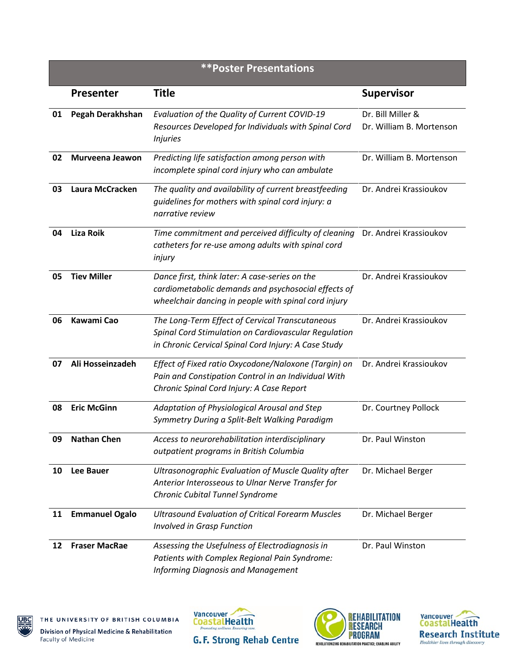| <b>**Poster Presentations</b> |                       |                                                                                                                                                                 |                                               |  |  |
|-------------------------------|-----------------------|-----------------------------------------------------------------------------------------------------------------------------------------------------------------|-----------------------------------------------|--|--|
|                               | <b>Presenter</b>      | <b>Title</b>                                                                                                                                                    | <b>Supervisor</b>                             |  |  |
| 01                            | Pegah Derakhshan      | Evaluation of the Quality of Current COVID-19<br>Resources Developed for Individuals with Spinal Cord<br><b>Injuries</b>                                        | Dr. Bill Miller &<br>Dr. William B. Mortenson |  |  |
| 02                            | Murveena Jeawon       | Predicting life satisfaction among person with<br>incomplete spinal cord injury who can ambulate                                                                | Dr. William B. Mortenson                      |  |  |
| 03                            | Laura McCracken       | The quality and availability of current breastfeeding<br>guidelines for mothers with spinal cord injury: a<br>narrative review                                  | Dr. Andrei Krassioukov                        |  |  |
| 04                            | <b>Liza Roik</b>      | Time commitment and perceived difficulty of cleaning<br>catheters for re-use among adults with spinal cord<br>injury                                            | Dr. Andrei Krassioukov                        |  |  |
| 05                            | <b>Tiev Miller</b>    | Dance first, think later: A case-series on the<br>cardiometabolic demands and psychosocial effects of<br>wheelchair dancing in people with spinal cord injury   | Dr. Andrei Krassioukov                        |  |  |
| 06                            | Kawami Cao            | The Long-Term Effect of Cervical Transcutaneous<br>Spinal Cord Stimulation on Cardiovascular Regulation<br>in Chronic Cervical Spinal Cord Injury: A Case Study | Dr. Andrei Krassioukov                        |  |  |
| 07                            | Ali Hosseinzadeh      | Effect of Fixed ratio Oxycodone/Naloxone (Targin) on<br>Pain and Constipation Control in an Individual With<br>Chronic Spinal Cord Injury: A Case Report        | Dr. Andrei Krassioukov                        |  |  |
| 08                            | <b>Eric McGinn</b>    | Adaptation of Physiological Arousal and Step<br>Symmetry During a Split-Belt Walking Paradigm                                                                   | Dr. Courtney Pollock                          |  |  |
| 09                            | <b>Nathan Chen</b>    | Access to neurorehabilitation interdisciplinary<br>outpatient programs in British Columbia                                                                      | Dr. Paul Winston                              |  |  |
| 10                            | <b>Lee Bauer</b>      | Ultrasonographic Evaluation of Muscle Quality after<br>Anterior Interosseous to Ulnar Nerve Transfer for<br>Chronic Cubital Tunnel Syndrome                     | Dr. Michael Berger                            |  |  |
| 11                            | <b>Emmanuel Ogalo</b> | <b>Ultrasound Evaluation of Critical Forearm Muscles</b><br><b>Involved in Grasp Function</b>                                                                   | Dr. Michael Berger                            |  |  |
| 12                            | <b>Fraser MacRae</b>  | Assessing the Usefulness of Electrodiagnosis in<br>Patients with Complex Regional Pain Syndrome:<br><b>Informing Diagnosis and Management</b>                   | Dr. Paul Winston                              |  |  |







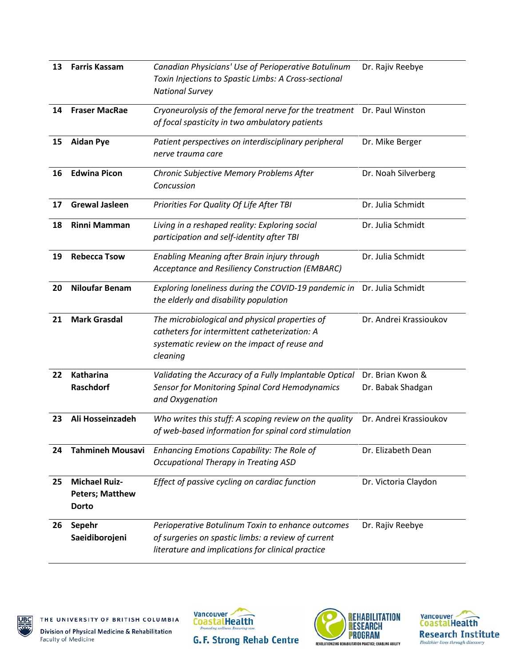| 13 | <b>Farris Kassam</b>                                           | Canadian Physicians' Use of Perioperative Botulinum<br>Toxin Injections to Spastic Limbs: A Cross-sectional<br><b>National Survey</b>                        | Dr. Rajiv Reebye                      |
|----|----------------------------------------------------------------|--------------------------------------------------------------------------------------------------------------------------------------------------------------|---------------------------------------|
| 14 | <b>Fraser MacRae</b>                                           | Cryoneurolysis of the femoral nerve for the treatment<br>of focal spasticity in two ambulatory patients                                                      | Dr. Paul Winston                      |
| 15 | <b>Aidan Pye</b>                                               | Patient perspectives on interdisciplinary peripheral<br>nerve trauma care                                                                                    | Dr. Mike Berger                       |
| 16 | <b>Edwina Picon</b>                                            | Chronic Subjective Memory Problems After<br>Concussion                                                                                                       | Dr. Noah Silverberg                   |
| 17 | <b>Grewal Jasleen</b>                                          | Priorities For Quality Of Life After TBI                                                                                                                     | Dr. Julia Schmidt                     |
| 18 | <b>Rinni Mamman</b>                                            | Living in a reshaped reality: Exploring social<br>participation and self-identity after TBI                                                                  | Dr. Julia Schmidt                     |
| 19 | <b>Rebecca Tsow</b>                                            | Enabling Meaning after Brain injury through<br>Acceptance and Resiliency Construction (EMBARC)                                                               | Dr. Julia Schmidt                     |
| 20 | <b>Niloufar Benam</b>                                          | Exploring loneliness during the COVID-19 pandemic in<br>the elderly and disability population                                                                | Dr. Julia Schmidt                     |
| 21 | <b>Mark Grasdal</b>                                            | The microbiological and physical properties of<br>catheters for intermittent catheterization: A<br>systematic review on the impact of reuse and<br>cleaning  | Dr. Andrei Krassioukov                |
| 22 | Katharina<br>Raschdorf                                         | Validating the Accuracy of a Fully Implantable Optical<br>Sensor for Monitoring Spinal Cord Hemodynamics<br>and Oxygenation                                  | Dr. Brian Kwon &<br>Dr. Babak Shadgan |
| 23 | Ali Hosseinzadeh                                               | Who writes this stuff: A scoping review on the quality<br>of web-based information for spinal cord stimulation                                               | Dr. Andrei Krassioukov                |
| 24 | <b>Tahmineh Mousavi</b>                                        | Enhancing Emotions Capability: The Role of<br><b>Occupational Therapy in Treating ASD</b>                                                                    | Dr. Elizabeth Dean                    |
| 25 | <b>Michael Ruiz-</b><br><b>Peters; Matthew</b><br><b>Dorto</b> | Effect of passive cycling on cardiac function                                                                                                                | Dr. Victoria Claydon                  |
| 26 | Sepehr<br>Saeidiborojeni                                       | Perioperative Botulinum Toxin to enhance outcomes<br>of surgeries on spastic limbs: a review of current<br>literature and implications for clinical practice | Dr. Rajiv Reebye                      |